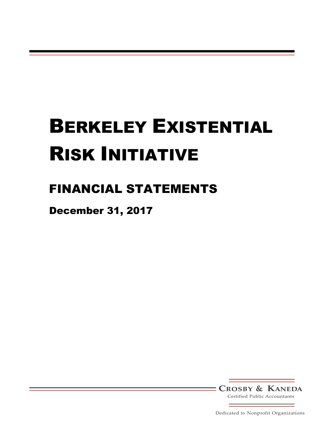# FINANCIAL STATEMENTS

December 31, 2017

**CROSBY & KANEDA**

Certified Public Accountants

Dedicated to Nonprofit Organizations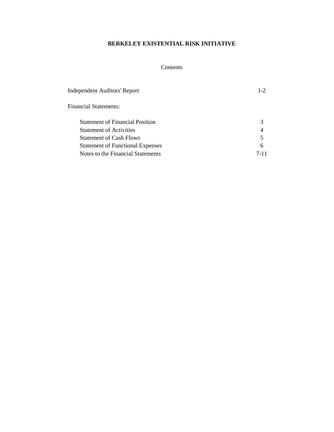# Contents

| <b>Independent Auditors' Report</b>     | $1 - 2$ |
|-----------------------------------------|---------|
| <b>Financial Statements:</b>            |         |
| <b>Statement of Financial Position</b>  | 3       |
| <b>Statement of Activities</b>          | 4       |
| <b>Statement of Cash Flows</b>          | 5       |
| <b>Statement of Functional Expenses</b> | 6       |
| Notes to the Financial Statements       | 7-11    |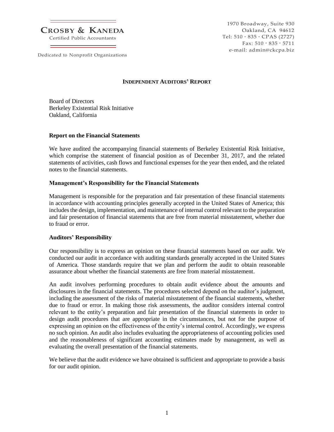**CROSBY & KANEDA**

Certified Public Accountants

Dedicated to Nonprofit Organizations

1970 Broadway, Suite 930 Oakland, CA 94612 Tel: 510 • 835 • CPAS (2727) Fax:  $510 \cdot 835 \cdot 5711$ e-mail: admin@ckcpa.biz

#### **INDEPENDENT AUDITORS' REPORT**

Board of Directors Berkeley Existential Risk Initiative Oakland, California

#### **Report on the Financial Statements**

We have audited the accompanying financial statements of Berkeley Existential Risk Initiative, which comprise the statement of financial position as of December 31, 2017, and the related statements of activities, cash flows and functional expenses for the year then ended, and the related notes to the financial statements.

#### **Management's Responsibility for the Financial Statements**

Management is responsible for the preparation and fair presentation of these financial statements in accordance with accounting principles generally accepted in the United States of America; this includes the design, implementation, and maintenance of internal control relevant to the preparation and fair presentation of financial statements that are free from material misstatement, whether due to fraud or error.

#### **Auditors' Responsibility**

Our responsibility is to express an opinion on these financial statements based on our audit. We conducted our audit in accordance with auditing standards generally accepted in the United States of America. Those standards require that we plan and perform the audit to obtain reasonable assurance about whether the financial statements are free from material misstatement.

An audit involves performing procedures to obtain audit evidence about the amounts and disclosures in the financial statements. The procedures selected depend on the auditor's judgment, including the assessment of the risks of material misstatement of the financial statements, whether due to fraud or error. In making those risk assessments, the auditor considers internal control relevant to the entity's preparation and fair presentation of the financial statements in order to design audit procedures that are appropriate in the circumstances, but not for the purpose of expressing an opinion on the effectiveness of the entity's internal control. Accordingly, we express no such opinion. An audit also includes evaluating the appropriateness of accounting policies used and the reasonableness of significant accounting estimates made by management, as well as evaluating the overall presentation of the financial statements.

We believe that the audit evidence we have obtained is sufficient and appropriate to provide a basis for our audit opinion.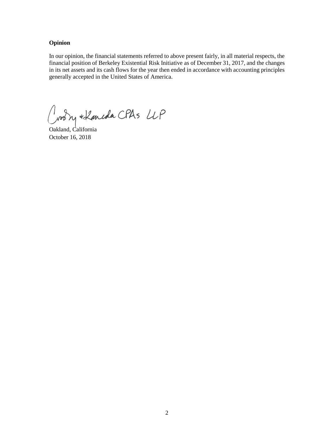#### **Opinion**

In our opinion, the financial statements referred to above present fairly, in all material respects, the financial position of Berkeley Existential Risk Initiative as of December 31, 2017, and the changes in its net assets and its cash flows for the year then ended in accordance with accounting principles generally accepted in the United States of America.

Croon + Lancola CPAS LLP

October 16, 2018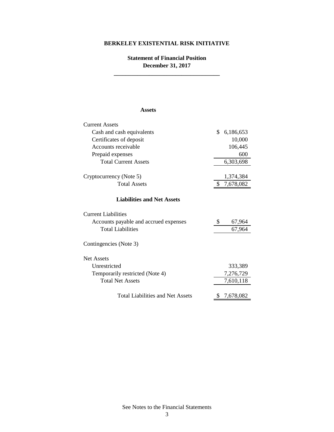# **Statement of Financial Position December 31, 2017 \_\_\_\_\_\_\_\_\_\_\_\_\_\_\_\_\_\_\_\_\_\_\_\_\_\_\_\_\_\_\_\_\_\_\_\_**

#### **Assets**

| <b>Current Assets</b>                   |           |           |  |  |
|-----------------------------------------|-----------|-----------|--|--|
| Cash and cash equivalents               | \$        | 6,186,653 |  |  |
| Certificates of deposit                 |           | 10,000    |  |  |
| Accounts receivable                     | 106,445   |           |  |  |
| Prepaid expenses                        |           | 600       |  |  |
| <b>Total Current Assets</b>             |           | 6,303,698 |  |  |
| Cryptocurrency (Note 5)                 |           | 1,374,384 |  |  |
| <b>Total Assets</b>                     | 7,678,082 |           |  |  |
| <b>Liabilities and Net Assets</b>       |           |           |  |  |
| <b>Current Liabilities</b>              |           |           |  |  |
| Accounts payable and accrued expenses   | \$        | 67,964    |  |  |
| <b>Total Liabilities</b>                | 67,964    |           |  |  |
| Contingencies (Note 3)                  |           |           |  |  |
| <b>Net Assets</b>                       |           |           |  |  |
| Unrestricted                            |           | 333,389   |  |  |
| Temporarily restricted (Note 4)         |           | 7,276,729 |  |  |
| <b>Total Net Assets</b>                 |           | 7,610,118 |  |  |
| <b>Total Liabilities and Net Assets</b> |           | 7,678,082 |  |  |

See Notes to the Financial Statements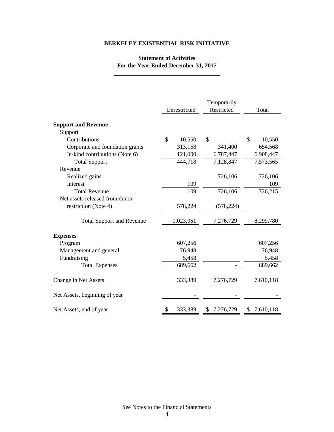# **Statement of Activities For the Year Ended December 31, 2017**

**\_\_\_\_\_\_\_\_\_\_\_\_\_\_\_\_\_\_\_\_\_\_\_\_\_\_\_\_\_\_\_\_\_\_\_\_**

|                                  | Unrestricted | Temporarily<br>Restricted | Total        |  |
|----------------------------------|--------------|---------------------------|--------------|--|
| <b>Support and Revenue</b>       |              |                           |              |  |
| Support                          |              |                           |              |  |
| Contributions                    | \$<br>10,550 | \$                        | \$<br>10,550 |  |
| Corporate and foundation grants  | 313,168      | 341,400                   | 654,568      |  |
| In-kind contributions (Note 6)   | 121,000      | 6,787,447                 | 6,908,447    |  |
| <b>Total Support</b>             | 444,718      | 7,128,847                 | 7,573,565    |  |
| Revenue                          |              |                           |              |  |
| Realized gains                   |              | 726,106                   | 726,106      |  |
| Interest                         | 109          |                           | 109          |  |
| <b>Total Revenue</b>             | 109          | 726,106                   | 726,215      |  |
| Net assets released from donor   |              |                           |              |  |
| restriction (Note 4)             | 578,224      | (578, 224)                |              |  |
| <b>Total Support and Revenue</b> | 1,023,051    | 7,276,729                 | 8,299,780    |  |
| <b>Expenses</b>                  |              |                           |              |  |
| Program                          | 607,256      |                           | 607,256      |  |
| Management and general           | 76,948       |                           | 76,948       |  |
| Fundraising                      | 5,458        |                           | 5,458        |  |
| <b>Total Expenses</b>            | 689,662      |                           | 689,662      |  |
| Change in Net Assets             | 333,389      | 7,276,729                 | 7,610,118    |  |
| Net Assets, beginning of year    |              |                           |              |  |
| Net Assets, end of year          | 333,389      | \$7,276,729               | \$7,610,118  |  |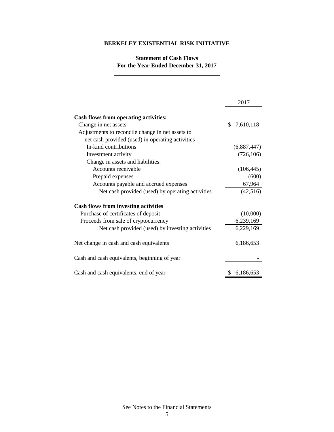# **Statement of Cash Flows For the Year Ended December 31, 2017**

**\_\_\_\_\_\_\_\_\_\_\_\_\_\_\_\_\_\_\_\_\_\_\_\_\_\_\_\_\_\_\_\_\_\_\_\_**

|                                                  | 2017            |
|--------------------------------------------------|-----------------|
| Cash flows from operating activities:            |                 |
| Change in net assets                             | 7,610,118<br>\$ |
| Adjustments to reconcile change in net assets to |                 |
| net cash provided (used) in operating activities |                 |
| In-kind contributions                            | (6,887,447)     |
| Investment activity                              | (726, 106)      |
| Change in assets and liabilities:                |                 |
| Accounts receivable                              | (106, 445)      |
| Prepaid expenses                                 | (600)           |
| Accounts payable and accrued expenses            | 67,964          |
| Net cash provided (used) by operating activities | (42,516)        |
| <b>Cash flows from investing activities</b>      |                 |
| Purchase of certificates of deposit              | (10,000)        |
| Proceeds from sale of cryptocurrency             | 6,239,169       |
| Net cash provided (used) by investing activities | 6,229,169       |
| Net change in cash and cash equivalents          | 6,186,653       |
| Cash and cash equivalents, beginning of year     |                 |
| Cash and cash equivalents, end of year           | 6,186,653<br>S  |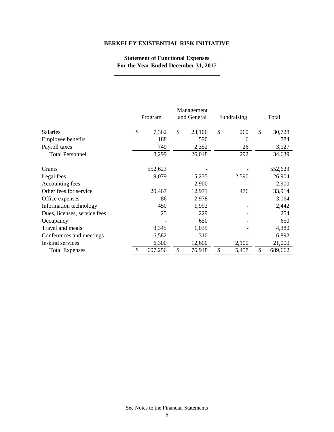# **Statement of Functional Expenses For the Year Ended December 31, 2017**

|                              | Program     | Management<br>and General | Fundraising | Total        |
|------------------------------|-------------|---------------------------|-------------|--------------|
| <b>Salaries</b>              | \$<br>7,362 | \$<br>23,106              | \$<br>260   | \$<br>30,728 |
| Employee benefits            | 188         | 590                       | 6           | 784          |
| Payroll taxes                | 749         | 2,352                     | 26          | 3,127        |
| <b>Total Personnel</b>       | 8,299       | 26,048                    | 292         | 34,639       |
|                              |             |                           |             |              |
| Grants                       | 552,623     |                           |             | 552,623      |
| Legal fees                   | 9,079       | 15,235                    | 2,590       | 26,904       |
| Accounting fees              |             | 2,900                     |             | 2,900        |
| Other fees for service       | 20,467      | 12,971                    | 476         | 33,914       |
| Office expenses              | 86          | 2,978                     |             | 3,064        |
| Information technology       | 450         | 1,992                     |             | 2,442        |
| Dues, licenses, service fees | 25          | 229                       |             | 254          |
| Occupancy                    |             | 650                       |             | 650          |
| Travel and meals             | 3,345       | 1,035                     |             | 4,380        |
| Conferences and meetings     | 6,582       | 310                       |             | 6,892        |
| In-kind services             | 6,300       | 12,600                    | 2,100       | 21,000       |
| <b>Total Expenses</b>        | 607,256     | \$<br>76,948              | \$<br>5,458 | 689,662      |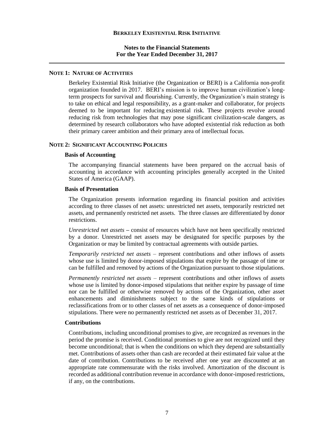#### **Notes to the Financial Statements For the Year Ended December 31, 2017**

#### **NOTE 1: NATURE OF ACTIVITIES**

Berkeley Existential Risk Initiative (the Organization or BERI) is a California non-profit organization founded in 2017. BERI's mission is to improve human civilization's longterm prospects for survival and flourishing. Currently, the Organization's main strategy is to take on ethical and legal responsibility, as a grant-maker and collaborator, for projects deemed to be important for reducing [existential risk.](https://en.wikipedia.org/wiki/Global_catastrophic_risk#Moral_importance_of_existential_risk) These projects revolve around reducing risk from technologies that may pose significant civilization-scale dangers, as determined by research collaborators who have adopted existential risk reduction as both their primary career ambition and their primary area of intellectual focus.

#### **NOTE 2: SIGNIFICANT ACCOUNTING POLICIES**

#### **Basis of Accounting**

The accompanying financial statements have been prepared on the accrual basis of accounting in accordance with accounting principles generally accepted in the United States of America (GAAP).

#### **Basis of Presentation**

The Organization presents information regarding its financial position and activities according to three classes of net assets: unrestricted net assets, temporarily restricted net assets, and permanently restricted net assets. The three classes are differentiated by donor restrictions.

*Unrestricted net assets* **–** consist of resources which have not been specifically restricted by a donor. Unrestricted net assets may be designated for specific purposes by the Organization or may be limited by contractual agreements with outside parties.

*Temporarily restricted net assets* – represent contributions and other inflows of assets whose use is limited by donor-imposed stipulations that expire by the passage of time or can be fulfilled and removed by actions of the Organization pursuant to those stipulations.

*Permanently restricted net assets –* represent contributions and other inflows of assets whose use is limited by donor-imposed stipulations that neither expire by passage of time nor can be fulfilled or otherwise removed by actions of the Organization, other asset enhancements and diminishments subject to the same kinds of stipulations or reclassifications from or to other classes of net assets as a consequence of donor-imposed stipulations. There were no permanently restricted net assets as of December 31, 2017.

#### **Contributions**

Contributions, including unconditional promises to give, are recognized as revenues in the period the promise is received. Conditional promises to give are not recognized until they become unconditional; that is when the conditions on which they depend are substantially met. Contributions of assets other than cash are recorded at their estimated fair value at the date of contribution. Contributions to be received after one year are discounted at an appropriate rate commensurate with the risks involved. Amortization of the discount is recorded as additional contribution revenue in accordance with donor-imposed restrictions, if any, on the contributions.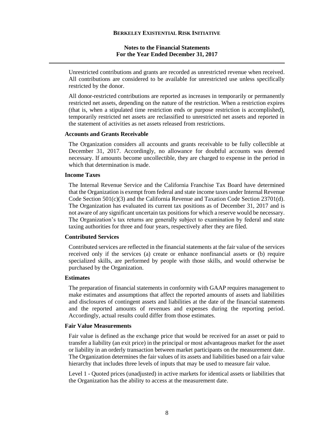#### **Notes to the Financial Statements For the Year Ended December 31, 2017**

Unrestricted contributions and grants are recorded as unrestricted revenue when received. All contributions are considered to be available for unrestricted use unless specifically restricted by the donor.

All donor-restricted contributions are reported as increases in temporarily or permanently restricted net assets, depending on the nature of the restriction. When a restriction expires (that is, when a stipulated time restriction ends or purpose restriction is accomplished), temporarily restricted net assets are reclassified to unrestricted net assets and reported in the statement of activities as net assets released from restrictions.

#### **Accounts and Grants Receivable**

The Organization considers all accounts and grants receivable to be fully collectible at December 31, 2017. Accordingly, no allowance for doubtful accounts was deemed necessary. If amounts become uncollectible, they are charged to expense in the period in which that determination is made.

#### **Income Taxes**

The Internal Revenue Service and the California Franchise Tax Board have determined that the Organization is exempt from federal and state income taxes under Internal Revenue Code Section 501(c)(3) and the California Revenue and Taxation Code Section 23701(d). The Organization has evaluated its current tax positions as of December 31, 2017 and is not aware of any significant uncertain tax positions for which a reserve would be necessary. The Organization's tax returns are generally subject to examination by federal and state taxing authorities for three and four years, respectively after they are filed.

#### **Contributed Services**

Contributed services are reflected in the financial statements at the fair value of the services received only if the services (a) create or enhance nonfinancial assets or (b) require specialized skills, are performed by people with those skills, and would otherwise be purchased by the Organization.

#### **Estimates**

The preparation of financial statements in conformity with GAAP requires management to make estimates and assumptions that affect the reported amounts of assets and liabilities and disclosures of contingent assets and liabilities at the date of the financial statements and the reported amounts of revenues and expenses during the reporting period. Accordingly, actual results could differ from those estimates.

#### **Fair Value Measurements**

Fair value is defined as the exchange price that would be received for an asset or paid to transfer a liability (an exit price) in the principal or most advantageous market for the asset or liability in an orderly transaction between market participants on the measurement date. The Organization determines the fair values of its assets and liabilities based on a fair value hierarchy that includes three levels of inputs that may be used to measure fair value.

Level 1 - Quoted prices (unadjusted) in active markets for identical assets or liabilities that the Organization has the ability to access at the measurement date.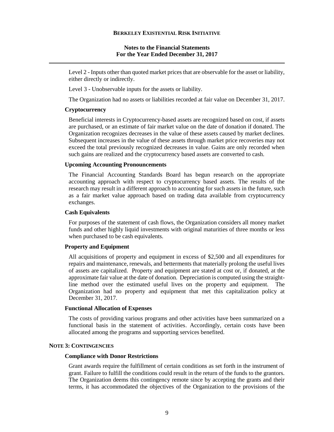#### **Notes to the Financial Statements For the Year Ended December 31, 2017**

Level 2 - Inputs other than quoted market prices that are observable for the asset or liability, either directly or indirectly.

Level 3 - Unobservable inputs for the assets or liability.

The Organization had no assets or liabilities recorded at fair value on December 31, 2017.

#### **Cryptocurrency**

Beneficial interests in Cryptocurrency-based assets are recognized based on cost, if assets are purchased, or an estimate of fair market value on the date of donation if donated. The Organization recognizes decreases in the value of these assets caused by market declines. Subsequent increases in the value of these assets through market price recoveries may not exceed the total previously recognized decreases in value. Gains are only recorded when such gains are realized and the cryptocurrency based assets are converted to cash.

#### **Upcoming Accounting Pronouncements**

The Financial Accounting Standards Board has begun research on the appropriate accounting approach with respect to cryptocurrency based assets. The results of the research may result in a different approach to accounting for such assets in the future, such as a fair market value approach based on trading data available from cryptocurrency exchanges.

#### **Cash Equivalents**

For purposes of the statement of cash flows, the Organization considers all money market funds and other highly liquid investments with original maturities of three months or less when purchased to be cash equivalents.

#### **Property and Equipment**

All acquisitions of property and equipment in excess of \$2,500 and all expenditures for repairs and maintenance, renewals, and betterments that materially prolong the useful lives of assets are capitalized. Property and equipment are stated at cost or, if donated, at the approximate fair value at the date of donation. Depreciation is computed using the straightline method over the estimated useful lives on the property and equipment. The Organization had no property and equipment that met this capitalization policy at December 31, 2017.

#### **Functional Allocation of Expenses**

The costs of providing various programs and other activities have been summarized on a functional basis in the statement of activities. Accordingly, certain costs have been allocated among the programs and supporting services benefited.

#### **NOTE 3: CONTINGENCIES**

#### **Compliance with Donor Restrictions**

Grant awards require the fulfillment of certain conditions as set forth in the instrument of grant. Failure to fulfill the conditions could result in the return of the funds to the grantors. The Organization deems this contingency remote since by accepting the grants and their terms, it has accommodated the objectives of the Organization to the provisions of the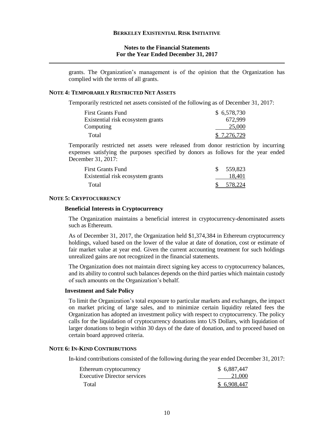#### **Notes to the Financial Statements For the Year Ended December 31, 2017**

grants. The Organization's management is of the opinion that the Organization has complied with the terms of all grants.

#### **NOTE 4: TEMPORARILY RESTRICTED NET ASSETS**

Temporarily restricted net assets consisted of the following as of December 31, 2017:

| <b>First Grants Fund</b>          | \$6,578,730 |
|-----------------------------------|-------------|
| Existential risk ecosystem grants | 672.999     |
| Computing                         | 25,000      |
| Total                             | \$7,276,729 |

Temporarily restricted net assets were released from donor restriction by incurring expenses satisfying the purposes specified by donors as follows for the year ended December 31, 2017:

| First Grants Fund                 | \$559,823 |
|-----------------------------------|-----------|
| Existential risk ecosystem grants | 18.401    |
| Total                             | \$578,224 |

#### **NOTE 5: CRYPTOCURRENCY**

#### **Beneficial Interests in Cryptocurrency**

The Organization maintains a beneficial interest in cryptocurrency-denominated assets such as Ethereum.

As of December 31, 2017, the Organization held \$1,374,384 in Ethereum cryptocurrency holdings, valued based on the lower of the value at date of donation, cost or estimate of fair market value at year end. Given the current accounting treatment for such holdings unrealized gains are not recognized in the financial statements.

The Organization does not maintain direct signing key access to cryptocurrency balances, and its ability to control such balances depends on the third parties which maintain custody of such amounts on the Organization's behalf.

#### **Investment and Sale Policy**

To limit the Organization's total exposure to particular markets and exchanges, the impact on market pricing of large sales, and to minimize certain liquidity related fees the Organization has adopted an investment policy with respect to cryptocurrency. The policy calls for the liquidation of cryptocurrency donations into US Dollars, with liquidation of larger donations to begin within 30 days of the date of donation, and to proceed based on certain board approved criteria.

#### **NOTE 6: IN-KIND CONTRIBUTIONS**

In-kind contributions consisted of the following during the year ended December 31, 2017:

| Ethereum cryptocurrency     | \$ 6,887,447 |
|-----------------------------|--------------|
| Executive Director services | 21,000       |
| Total                       | \$6,908,447  |